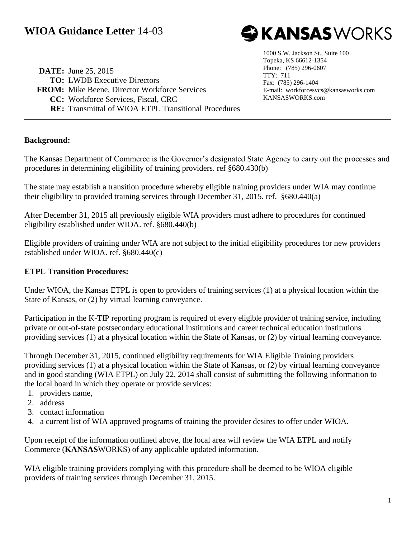

**DATE:** June 25, 2015 **TO:** LWDB Executive Directors **FROM:** Mike Beene, Director Workforce Services **CC:** Workforce Services, Fiscal, CRC **RE:** Transmittal of WIOA ETPL Transitional Procedures

1000 S.W. Jackson St., Suite 100 Topeka, KS 66612-1354 Phone: (785) 296-0607 TTY: 711 Fax: (785) 296-1404 E-mail: workforcesvcs@kansasworks.com KANSASWORKS.com

### **Background:**

The Kansas Department of Commerce is the Governor's designated State Agency to carry out the processes and procedures in determining eligibility of training providers. ref §680.430(b)

The state may establish a transition procedure whereby eligible training providers under WIA may continue their eligibility to provided training services through December 31, 2015. ref. §680.440(a)

After December 31, 2015 all previously eligible WIA providers must adhere to procedures for continued eligibility established under WIOA. ref. §680.440(b)

Eligible providers of training under WIA are not subject to the initial eligibility procedures for new providers established under WIOA. ref. §680.440(c)

#### **ETPL Transition Procedures:**

Under WIOA, the Kansas ETPL is open to providers of training services (1) at a physical location within the State of Kansas, or (2) by virtual learning conveyance.

Participation in the K-TIP reporting program is required of every eligible provider of training service, including private or out-of-state postsecondary educational institutions and career technical education institutions providing services (1) at a physical location within the State of Kansas, or (2) by virtual learning conveyance.

Through December 31, 2015, continued eligibility requirements for WIA Eligible Training providers providing services (1) at a physical location within the State of Kansas, or (2) by virtual learning conveyance and in good standing (WIA ETPL) on July 22, 2014 shall consist of submitting the following information to the local board in which they operate or provide services:

- 1. providers name,
- 2. address
- 3. contact information
- 4. a current list of WIA approved programs of training the provider desires to offer under WIOA.

Upon receipt of the information outlined above, the local area will review the WIA ETPL and notify Commerce (**KANSAS**WORKS) of any applicable updated information.

WIA eligible training providers complying with this procedure shall be deemed to be WIOA eligible providers of training services through December 31, 2015.